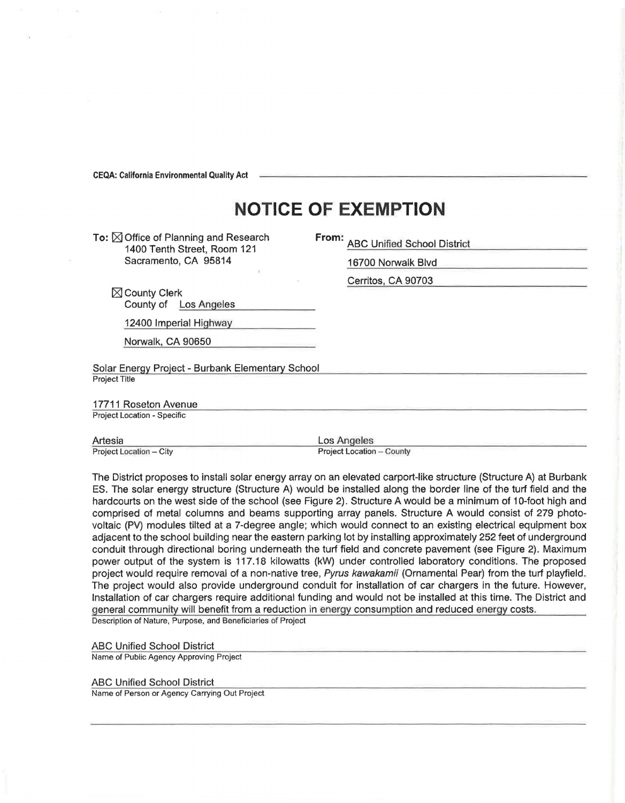**CEQA: California Environmental Quality Act** 

## **NOTICE OF EXEMPTION**

To:  $\boxtimes$  **Office of Planning and Research** 1400 Tenth Street, Room 121 Sacramento, CA 95814

| гтонг. |  |  | <b>ABC Unified School District</b> |
|--------|--|--|------------------------------------|
|--------|--|--|------------------------------------|

16700 Norwalk Blvd

Cerritos, CA 90703

⊠ County Clerk<br>County of L Los Angeles

12400 Imperial Highway

Norwalk, CA 90650

Solar Energy Project - Burbank Elementary School Project Title

17711 Roseton Avenue Project Location - Specific

Artesia Los Angeles<br>Project Location – City Project Location

Project Location - County

The District proposes to install solar energy array on an elevated carport-like structure (Structure A) at Burbank ES. The solar energy structure (Structure A) would be installed along the border line of the turf field and the hard courts on the west side of the school (see Figure 2). Structure A would be a minimum of 10-foot high and comprised of metal columns and beams supporting array panels. Structure A would consist of 279 photovoltaic (PV) modules tilted at a 7-degree angle; which would connect to an existing electrical equipment box adjacent to the school building near the eastern parking lot by installing approximately 252 feet of underground conduit through directional boring underneath the turf field and concrete pavement (see Figure 2). Maximum power output of the system is 117.18 kilowatts (kW) under controlled laboratory conditions. The proposed project would require removal of a non-native tree, Pyrus kawakamii (Ornamental Pear) from the turf playfield. The project would also provide underground conduit for installation of car chargers in the future. However, Installation of car chargers require additional funding and would not be installed at this time. The District and general community will benefit from a reduction in energy consumption and reduced energy costs. Description of Nature, Purpose, and Beneficiaries of Project

ABC Unified School District

Name of Public Agency Approving Project

ABC Unified School District

Name of Person or Agency Carrying Out Project